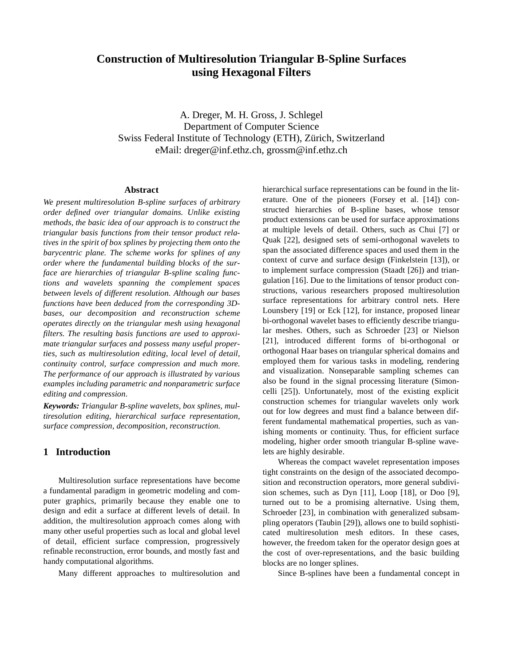# **Construction of Multiresolution Triangular B-Spline Surfaces using Hexagonal Filters**

A. Dreger, M. H. Gross, J. Schlegel Department of Computer Science Swiss Federal Institute of Technology (ETH), Zürich, Switzerland eMail: dreger@inf.ethz.ch, grossm@inf.ethz.ch

#### **Abstract**

*We present multiresolution B-spline surfaces of arbitrary order defined over triangular domains. Unlike existing methods, the basic idea of our approach is to construct the triangular basis functions from their tensor product relatives in the spirit of box splines by projecting them onto the barycentric plane. The scheme works for splines of any order where the fundamental building blocks of the surface are hierarchies of triangular B-spline scaling functions and wavelets spanning the complement spaces between levels of different resolution. Although our bases functions have been deduced from the corresponding 3Dbases, our decomposition and reconstruction scheme operates directly on the triangular mesh using hexagonal filters. The resulting basis functions are used to approximate triangular surfaces and possess many useful properties, such as multiresolution editing, local level of detail, continuity control, surface compression and much more. The performance of our approach is illustrated by various examples including parametric and nonparametric surface editing and compression.*

*Keywords: Triangular B-spline wavelets, box splines, multiresolution editing, hierarchical surface representation, surface compression, decomposition, reconstruction.*

### **1 Introduction**

Multiresolution surface representations have become a fundamental paradigm in geometric modeling and computer graphics, primarily because they enable one to design and edit a surface at different levels of detail. In addition, the multiresolution approach comes along with many other useful properties such as local and global level of detail, efficient surface compression, progressively refinable reconstruction, error bounds, and mostly fast and handy computational algorithms.

Many different approaches to multiresolution and

hierarchical surface representations can be found in the literature. One of the pioneers (Forsey et al. [14]) constructed hierarchies of B-spline bases, whose tensor product extensions can be used for surface approximations at multiple levels of detail. Others, such as Chui [7] or Quak [22], designed sets of semi-orthogonal wavelets to span the associated difference spaces and used them in the context of curve and surface design (Finkelstein [13]), or to implement surface compression (Staadt [26]) and triangulation [16]. Due to the limitations of tensor product constructions, various researchers proposed multiresolution surface representations for arbitrary control nets. Here Lounsbery [19] or Eck [12], for instance, proposed linear bi-orthogonal wavelet bases to efficiently describe triangular meshes. Others, such as Schroeder [23] or Nielson [21], introduced different forms of bi-orthogonal or orthogonal Haar bases on triangular spherical domains and employed them for various tasks in modeling, rendering and visualization. Nonseparable sampling schemes can also be found in the signal processing literature (Simoncelli [25]). Unfortunately, most of the existing explicit construction schemes for triangular wavelets only work out for low degrees and must find a balance between different fundamental mathematical properties, such as vanishing moments or continuity. Thus, for efficient surface modeling, higher order smooth triangular B-spline wavelets are highly desirable.

Whereas the compact wavelet representation imposes tight constraints on the design of the associated decomposition and reconstruction operators, more general subdivision schemes, such as Dyn [11], Loop [18], or Doo [9], turned out to be a promising alternative. Using them, Schroeder [23], in combination with generalized subsampling operators (Taubin [29]), allows one to build sophisticated multiresolution mesh editors. In these cases, however, the freedom taken for the operator design goes at the cost of over-representations, and the basic building blocks are no longer splines.

Since B-splines have been a fundamental concept in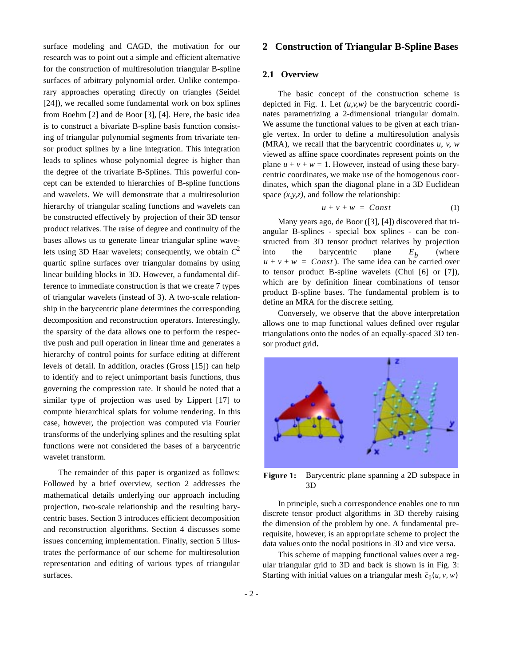surface modeling and CAGD, the motivation for our research was to point out a simple and efficient alternative for the construction of multiresolution triangular B-spline surfaces of arbitrary polynomial order. Unlike contemporary approaches operating directly on triangles (Seidel [24]), we recalled some fundamental work on box splines from Boehm [2] and de Boor [3], [4]. Here, the basic idea is to construct a bivariate B-spline basis function consisting of triangular polynomial segments from trivariate tensor product splines by a line integration. This integration leads to splines whose polynomial degree is higher than the degree of the trivariate B-Splines. This powerful concept can be extended to hierarchies of B-spline functions and wavelets. We will demonstrate that a multiresolution hierarchy of triangular scaling functions and wavelets can be constructed effectively by projection of their 3D tensor product relatives. The raise of degree and continuity of the bases allows us to generate linear triangular spline wavelets using 3D Haar wavelets; consequently, we obtain  $C^2$ quartic spline surfaces over triangular domains by using linear building blocks in 3D. However, a fundamental difference to immediate construction is that we create 7 types of triangular wavelets (instead of 3). A two-scale relationship in the barycentric plane determines the corresponding decomposition and reconstruction operators. Interestingly, the sparsity of the data allows one to perform the respective push and pull operation in linear time and generates a hierarchy of control points for surface editing at different levels of detail. In addition, oracles (Gross [15]) can help to identify and to reject unimportant basis functions, thus governing the compression rate. It should be noted that a similar type of projection was used by Lippert [17] to compute hierarchical splats for volume rendering. In this case, however, the projection was computed via Fourier transforms of the underlying splines and the resulting splat functions were not considered the bases of a barycentric wavelet transform.

The remainder of this paper is organized as follows: Followed by a brief overview, section 2 addresses the mathematical details underlying our approach including projection, two-scale relationship and the resulting barycentric bases. Section 3 introduces efficient decomposition and reconstruction algorithms. Section 4 discusses some issues concerning implementation. Finally, section 5 illustrates the performance of our scheme for multiresolution representation and editing of various types of triangular surfaces.

## **2 Construction of Triangular B-Spline Bases**

#### **2.1 Overview**

The basic concept of the construction scheme is depicted in Fig. 1. Let *(u,v,w)* be the barycentric coordinates parametrizing a 2-dimensional triangular domain. We assume the functional values to be given at each triangle vertex. In order to define a multiresolution analysis (MRA), we recall that the barycentric coordinates *u*, *v*, *w* viewed as affine space coordinates represent points on the plane  $u + v + w = 1$ . However, instead of using these barycentric coordinates, we make use of the homogenous coordinates, which span the diagonal plane in a 3D Euclidean space *(x,y,z)*, and follow the relationship:

$$
u + v + w = Const \tag{1}
$$

Many years ago, de Boor ([3], [4]) discovered that triangular B-splines - special box splines - can be constructed from 3D tensor product relatives by projection into the barycentric plane  $E<sub>k</sub>$  (where  $u + v + w = Const$ ). The same idea can be carried over to tensor product B-spline wavelets (Chui [6] or [7]), which are by definition linear combinations of tensor product B-spline bases. The fundamental problem is to define an MRA for the discrete setting. *Eb*

Conversely, we observe that the above interpretation allows one to map functional values defined over regular triangulations onto the nodes of an equally-spaced 3D tensor product grid**.**



**Figure 1:** Barycentric plane spanning a 2D subspace in 3D

In principle, such a correspondence enables one to run discrete tensor product algorithms in 3D thereby raising the dimension of the problem by one. A fundamental prerequisite, however, is an appropriate scheme to project the data values onto the nodal positions in 3D and vice versa.

This scheme of mapping functional values over a regular triangular grid to 3D and back is shown is in Fig. 3: Starting with initial values on a triangular mesh  $\tilde{c}_0(u, v, w)$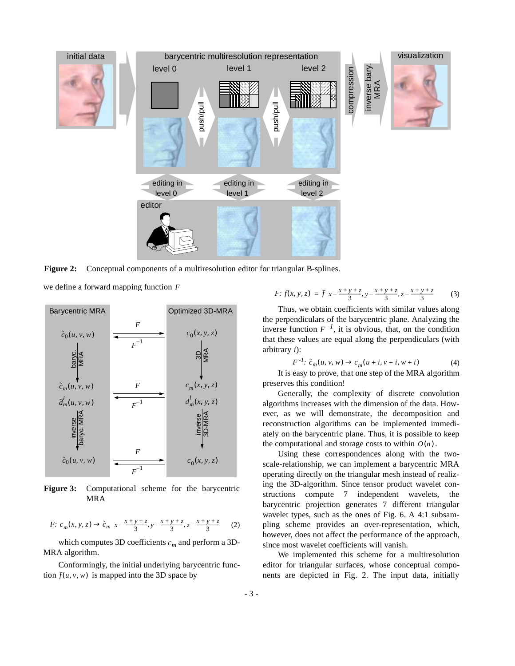

**Figure 2:** Conceptual components of a multiresolution editor for triangular B-splines.

we define a forward mapping function *F*



**Figure 3:** Computational scheme for the barycentric MRA

*F*: 
$$
c_m(x, y, z) \to \tilde{c}_m\left(x - \frac{x + y + z}{3}, y - \frac{x + y + z}{3}, z - \frac{x + y + z}{3}\right)
$$
 (2)

which computes 3D coefficients  $c_m$  and perform a 3D-MRA algorithm.

Conformingly, the initial underlying barycentric function  $\tilde{f}(u, v, w)$  is mapped into the 3D space by

$$
F: f(x, y, z) = \tilde{f}\left(x - \frac{x + y + z}{3}, y - \frac{x + y + z}{3}, z - \frac{x + y + z}{3}\right) \tag{3}
$$

Thus, we obtain coefficients with similar values along the perpendiculars of the barycentric plane. Analyzing the inverse function  $F^{-1}$ , it is obvious, that, on the condition that these values are equal along the perpendiculars (with arbitrary *i*):

$$
F^{-1}: \tilde{c}_m(u, v, w) \to c_m(u+i, v+i, w+i)
$$
 (4)

It is easy to prove, that one step of the MRA algorithm preserves this condition!

Generally, the complexity of discrete convolution algorithms increases with the dimension of the data. However, as we will demonstrate, the decomposition and reconstruction algorithms can be implemented immediately on the barycentric plane. Thus, it is possible to keep the computational and storage costs to within  $O(n)$ .

Using these correspondences along with the twoscale-relationship, we can implement a barycentric MRA operating directly on the triangular mesh instead of realizing the 3D-algorithm. Since tensor product wavelet constructions compute 7 independent wavelets, the barycentric projection generates 7 different triangular wavelet types, such as the ones of Fig. 6. A 4:1 subsampling scheme provides an over-representation, which, however, does not affect the performance of the approach, since most wavelet coefficients will vanish.

We implemented this scheme for a multiresolution editor for triangular surfaces, whose conceptual components are depicted in Fig. 2. The input data, initially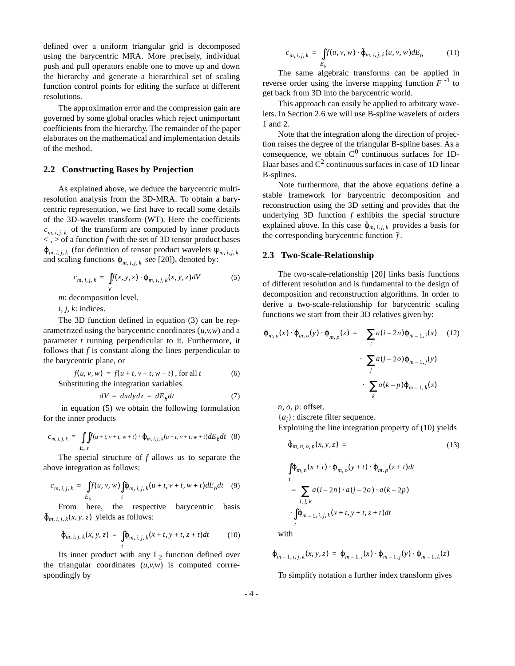defined over a uniform triangular grid is decomposed using the barycentric MRA. More precisely, individual push and pull operators enable one to move up and down the hierarchy and generate a hierarchical set of scaling function control points for editing the surface at different resolutions.

The approximation error and the compression gain are governed by some global oracles which reject unimportant coefficients from the hierarchy. The remainder of the paper elaborates on the mathematical and implementation details of the method.

#### **2.2 Constructing Bases by Projection**

As explained above, we deduce the barycentric multiresolution analysis from the 3D-MRA. To obtain a barycentric representation, we first have to recall some details of the 3D-wavelet transform (WT). Here the coefficients  $c_{m,i,j,k}$  of the transform are computed by inner products  $\langle , \rangle$  of a function  $f$  with the set of 3D tensor product bases  $\varphi_{m,i,j,k}$  (for definition of tensor product wavelets  $\psi_{m,i,j,k}$ and scaling functions  $\varphi_{m,i,j,k}$  see [20]), denoted by:

$$
c_{m, i, j, k} = \int\limits_V f(x, y, z) \cdot \varphi_{m, i, j, k}(x, y, z) dV
$$

*m*: decomposition level.

*i, j, k*: indices.

The 3D function defined in equation (3) can be reparametrized using the barycentric coordinates (*u,v,w*) and a parameter *t* running perpendicular to it. Furthermore, it follows that *f* is constant along the lines perpendicular to the barycentric plane, or

$$
f(u, v, w) = f(u + t, v + t, w + t)
$$
, for all t (6)  
Substituting the integration variables

$$
dV = dx dy dz = dE_b dt \t\t(7)
$$

 in equation (5) we obtain the following formulation for the inner products

$$
c_{m, i, j, k} = \int\int_{E_b} f(u+t, v+t, w+t) \cdot \varphi_{m, i, j, k}(u+t, v+t, w+t) dE_b dt
$$
 (8)

The special structure of *f* allows us to separate the above integration as follows:

$$
c_{m,i,j,k} = \int\limits_{E_b} f(u,v,w) \int\limits_t \varphi_{m,i,j,k}(u+t,v+t,w+t) dE_b dt \quad (9)
$$

From here, the respective barycentric basis  $\tilde{\varphi}_{m, i, j, k}(x, y, z)$  yields as follows:

$$
\tilde{\varphi}_{m, i, j, k}(x, y, z) = \int_{t} \varphi_{m, i, j, k}(x + t, y + t, z + t) dt \qquad (10)
$$

Its inner product with any  $L_2$  function defined over the triangular coordinates  $(u, v, w)$  is computed corrrespondingly by

$$
c_{m, i, j, k} = \int_{E_b} f(u, v, w) \cdot \tilde{\varphi}_{m, i, j, k}(u, v, w) dE_b \tag{11}
$$

The same algebraic transforms can be applied in reverse order using the inverse mapping function  $F^{-1}$  to get back from 3D into the barycentric world.

This approach can easily be applied to arbitrary wavelets. In Section 2.6 we will use B-spline wavelets of orders 1 and 2.

Note that the integration along the direction of projection raises the degree of the triangular B-spline bases. As a consequence, we obtain  $C^0$  continuous surfaces for 1D-Haar bases and  $C^2$  continuous surfaces in case of 1D linear B-splines.

Note furthermore, that the above equations define a stable framework for barycentric decomposition and reconstruction using the 3D setting and provides that the underlying 3D function *f* exhibits the special structure explained above. In this case  $\tilde{\varphi}_{m,i,j,k}$  provides a basis for the corresponding barycentric function  $\tilde{f}$ .

#### **2.3 Two-Scale-Relationship**

The two-scale-relationship [20] links basis functions of different resolution and is fundamental to the design of decomposition and reconstruction algorithms. In order to derive a two-scale-relationship for barycentric scaling functions we start from their 3D relatives given by:

$$
\varphi_{m,n}(x) \cdot \varphi_{m,o}(y) \cdot \varphi_{m,p}(z) = \left( \sum_{i} a(i - 2n) \varphi_{m-1,i}(x) \right) (12)
$$

$$
\cdot \left( \sum_{j} a(j - 2o) \varphi_{m-1,j}(y) \right)
$$

$$
\cdot \left( \sum_{k} a(k - p) \varphi_{m-1,k}(z) \right)
$$

*n, o, p*: offset.

{*ai* }: discrete filter sequence.

Exploiting the line integration property of (10) yields

$$
\tilde{\varphi}_{m,\,n,\,o,\,p}(x,\,y,\,z) = \tag{13}
$$

$$
\int_{t} \varphi_{m,n}(x+t) \cdot \varphi_{m,o}(y+t) \cdot \varphi_{m,p}(z+t) dt
$$
\n
$$
= \sum_{i,j,k} a(i-2n) \cdot a(j-2o) \cdot a(k-2p)
$$
\n
$$
\cdot \int_{t} \varphi_{m-1,i,j,k}(x+t,y+t,z+t) dt
$$

with

$$
\varphi_{m-1, i, j, k}(x, y, z) = \varphi_{m-1, i}(x) \cdot \varphi_{m-1, j}(y) \cdot \varphi_{m-1, k}(z)
$$

To simplify notation a further index transform gives

(5)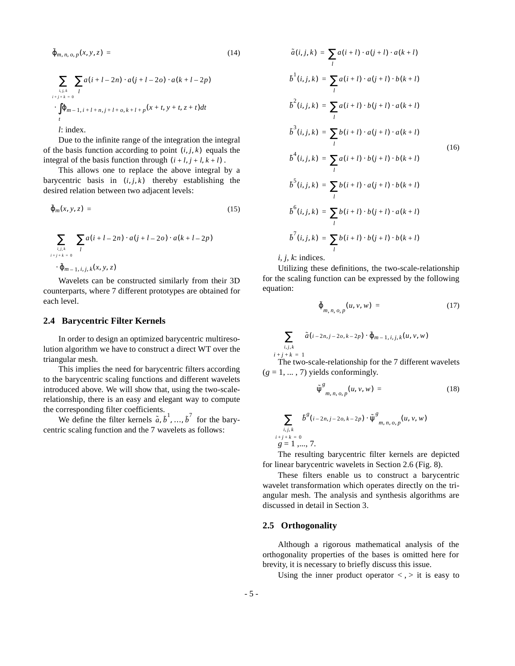$$
\tilde{\varphi}_{m, n, o, p}(x, y, z) = (14)
$$
\n
$$
\sum_{i, j, k} \sum_{l} a(i + l - 2n) \cdot a(j + l - 2o) \cdot a(k + l - 2p)
$$
\n
$$
\cdot \int_{i+j+k=0}^{\sum_{i,j,k} l} \Phi_{m-1, i+l+n, j+l+o, k+l+p}(x+t, y+t, z+t)dt
$$
\n
$$
t
$$
\n*i* index

Due to the infinite range of the integration the integral of the basis function according to point  $(i, j, k)$  equals the integral of the basis function through  $(i+l, j+l, k+l)$ .

This allows one to replace the above integral by a barycentric basis in  $(i, j, k)$  thereby establishing the desired relation between two adjacent levels:

$$
\tilde{\varphi}_m(x, y, z) = \qquad (15)
$$
\n
$$
\sum_{\substack{i,j,k \\ i+j+k=0}} \left( \sum_l a(i+l-2n) \cdot a(j+l-2o) \cdot a(k+l-2p) \right)
$$
\n
$$
\cdot \tilde{\varphi}_{m-1, i,j,k}(x, y, z)
$$

Wavelets can be constructed similarly from their 3D counterparts, where 7 different prototypes are obtained for each level.

### **2.4 Barycentric Filter Kernels**

In order to design an optimized barycentric multiresolution algorithm we have to construct a direct WT over the triangular mesh.

This implies the need for barycentric filters according to the barycentric scaling functions and different wavelets introduced above. We will show that, using the two-scalerelationship, there is an easy and elegant way to compute the corresponding filter coefficients.

We define the filter kernels  $\tilde{a}$ ,  $\tilde{b}^1$ , ...,  $\tilde{b}^7$  for the barycentric scaling function and the 7 wavelets as follows:

$$
\tilde{a}(i, j, k) = \sum_{l} a(i + l) \cdot a(j + l) \cdot a(k + l)
$$
\n
$$
b^{l}(i, j, k) = \sum_{l} a(i + l) \cdot a(j + l) \cdot b(k + l)
$$
\n
$$
b^{2}(i, j, k) = \sum_{l} a(i + l) \cdot b(j + l) \cdot a(k + l)
$$
\n
$$
b^{3}(i, j, k) = \sum_{l} b(i + l) \cdot a(j + l) \cdot a(k + l)
$$
\n
$$
b^{4}(i, j, k) = \sum_{l} a(i + l) \cdot b(j + l) \cdot b(k + l)
$$
\n
$$
b^{5}(i, j, k) = \sum_{l} b(i + l) \cdot a(j + l) \cdot b(k + l)
$$
\n
$$
b^{6}(i, j, k) = \sum_{l} b(i + l) \cdot b(j + l) \cdot a(k + l)
$$
\n
$$
b^{7}(i, j, k) = \sum_{l} b(i + l) \cdot b(j + l) \cdot b(k + l)
$$

*i, j, k*: indices.

Utilizing these definitions, the two-scale-relationship for the scaling function can be expressed by the following equation:

$$
\tilde{\varphi}_{m,n,\,o,\,p}(u,\nu,\,w) = \qquad (17)
$$

$$
\sum_{i,j,k} \tilde{a}(i-2n, j-2o, k-2p) \cdot \tilde{\varphi}_{m-1, i, j, k}(u, v, w)
$$
  
  $i+j+k = 1$   
The two-scale-relationship for the 7 different wavelets

 $(g = 1, \ldots, 7)$  yields conformingly.

$$
\tilde{\psi}^g_{m,n,o,p}(u,v,w) = (18)
$$

$$
\sum_{\substack{i,j,k \ i+j+k = 0}} b^g(i-2n, j-2o, k-2p) \cdot \tilde{\psi}^g_{m, n, o, p}(u, v, w)
$$
  
  $g = 1, ..., 7.$ 

The resulting barycentric filter kernels are depicted for linear barycentric wavelets in Section 2.6 (Fig. 8).

These filters enable us to construct a barycentric wavelet transformation which operates directly on the triangular mesh. The analysis and synthesis algorithms are discussed in detail in Section 3.

#### **2.5 Orthogonality**

Although a rigorous mathematical analysis of the orthogonality properties of the bases is omitted here for brevity, it is necessary to briefly discuss this issue.

Using the inner product operator  $\langle , \rangle$  it is easy to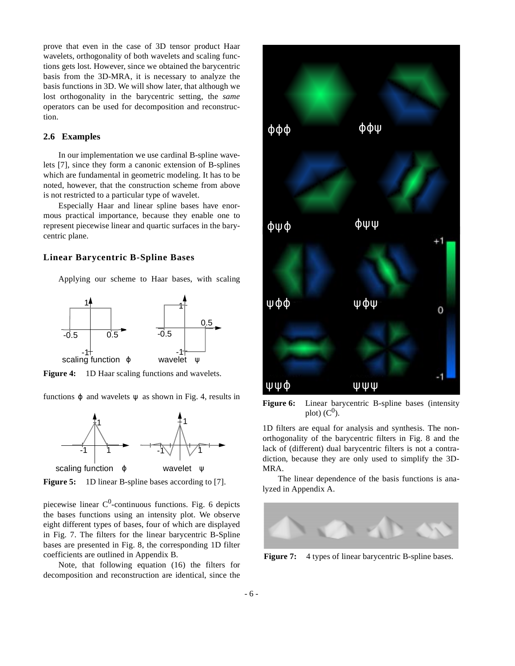prove that even in the case of 3D tensor product Haar wavelets, orthogonality of both wavelets and scaling functions gets lost. However, since we obtained the barycentric basis from the 3D-MRA, it is necessary to analyze the basis functions in 3D. We will show later, that although we lost orthogonality in the barycentric setting, the *same* operators can be used for decomposition and reconstruction.

### **2.6 Examples**

In our implementation we use cardinal B-spline wavelets [7], since they form a canonic extension of B-splines which are fundamental in geometric modeling. It has to be noted, however, that the construction scheme from above is not restricted to a particular type of wavelet.

Especially Haar and linear spline bases have enormous practical importance, because they enable one to represent piecewise linear and quartic surfaces in the barycentric plane.

#### **Linear Barycentric B-Spline Bases**

Applying our scheme to Haar bases, with scaling



**Figure 4:** 1D Haar scaling functions and wavelets.

functions  $\varphi$  and wavelets  $\psi$  as shown in Fig. 4, results in



**Figure 5:** 1D linear B-spline bases according to [7].

piecewise linear  $C^0$ -continuous functions. Fig. 6 depicts the bases functions using an intensity plot. We observe eight different types of bases, four of which are displayed in Fig. 7. The filters for the linear barycentric B-Spline bases are presented in Fig. 8, the corresponding 1D filter coefficients are outlined in Appendix B.

Note, that following equation (16) the filters for decomposition and reconstruction are identical, since the



**Figure 6:** Linear barycentric B-spline bases (intensity plot)  $(C<sup>0</sup>)$ .

1D filters are equal for analysis and synthesis. The nonorthogonality of the barycentric filters in Fig. 8 and the lack of (different) dual barycentric filters is not a contradiction, because they are only used to simplify the 3D-MRA.

The linear dependence of the basis functions is analyzed in Appendix A.



**Figure 7:** 4 types of linear barycentric B-spline bases.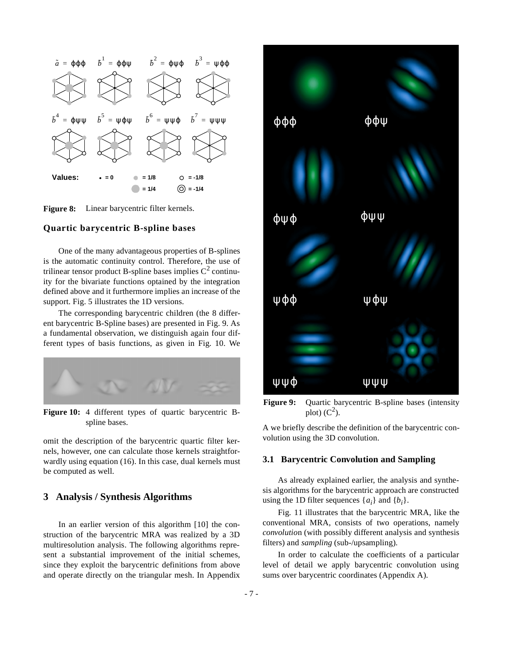

**Figure 8:** Linear barycentric filter kernels.

### **Quartic barycentric B-spline bases**

One of the many advantageous properties of B-splines is the automatic continuity control. Therefore, the use of trilinear tensor product B-spline bases implies  $C^2$  continuity for the bivariate functions optained by the integration defined above and it furthermore implies an increase of the support. Fig. 5 illustrates the 1D versions.

The corresponding barycentric children (the 8 different barycentric B-Spline bases) are presented in Fig. 9. As a fundamental observation, we distinguish again four different types of basis functions, as given in Fig. 10. We



**Figure 10:** 4 different types of quartic barycentric Bspline bases.

omit the description of the barycentric quartic filter kernels, however, one can calculate those kernels straightforwardly using equation (16). In this case, dual kernels must be computed as well.

## **3 Analysis / Synthesis Algorithms**

In an earlier version of this algorithm [10] the construction of the barycentric MRA was realized by a 3D multiresolution analysis. The following algorithms represent a substantial improvement of the initial schemes, since they exploit the barycentric definitions from above and operate directly on the triangular mesh. In Appendix



**Figure 9:** Quartic barycentric B-spline bases (intensity plot)  $(C^2)$ .

A we briefly describe the definition of the barycentric convolution using the 3D convolution.

#### **3.1 Barycentric Convolution and Sampling**

As already explained earlier, the analysis and synthesis algorithms for the barycentric approach are constructed using the 1D filter sequences  $\{a_i\}$  and  $\{b_i\}$ .

Fig. 11 illustrates that the barycentric MRA, like the conventional MRA, consists of two operations, namely *convolutio*n (with possibly different analysis and synthesis filters) and *sampling* (sub-/upsampling).

In order to calculate the coefficients of a particular level of detail we apply barycentric convolution using sums over barycentric coordinates (Appendix A).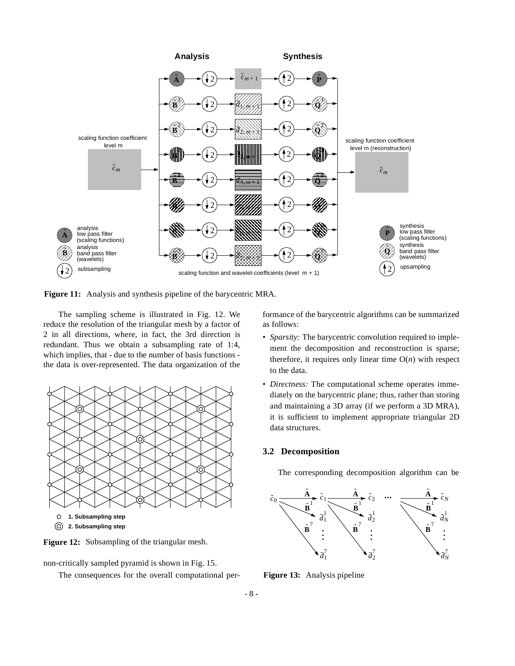

**Figure 11:** Analysis and synthesis pipeline of the barycentric MRA.

The sampling scheme is illustrated in Fig. 12. We reduce the resolution of the triangular mesh by a factor of 2 in all directions, where, in fact, the 3rd direction is redundant. Thus we obtain a subsampling rate of 1:4, which implies, that - due to the number of basis functions the data is over-represented. The data organization of the





non-critically sampled pyramid is shown in Fig. 15.

The consequences for the overall computational per-

formance of the barycentric algorithms can be summarized as follows:

- *Sparsity:* The barycentric convolution required to implement the decomposition and reconstruction is sparse; therefore, it requires only linear time  $O(n)$  with respect to the data.
- *Directness:* The computational scheme operates immediately on the barycentric plane; thus, rather than storing and maintaining a 3D array (if we perform a 3D MRA), it is sufficient to implement appropriate triangular 2D data structures.

### **3.2 Decomposition**

The corresponding decomposition algorithm can be



**Figure 13:** Analysis pipeline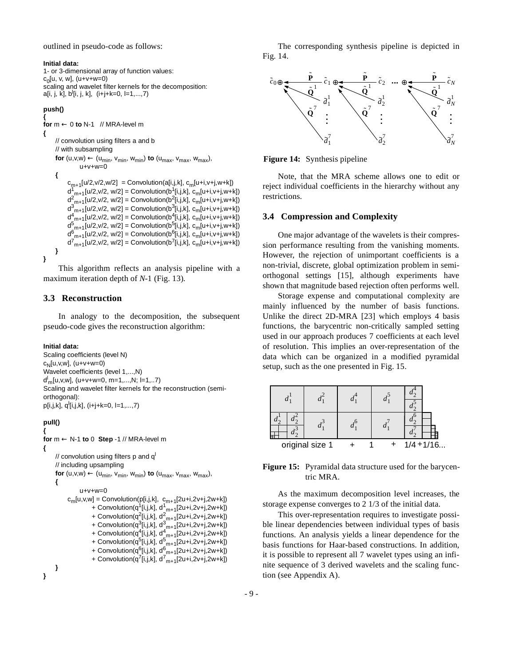outlined in pseudo-code as follows:

#### **Initial data:**

```
1- or 3-dimensional array of function values:
c_0[u, v, w], (u+v+w=0)
scaling and wavelet filter kernels for the decomposition:
a[i, j, k̆], b<sup>l</sup>[i, j, k],  (i+j+k=0, l=1,...,7)
```
#### **push()**

**{ for** m ← 0 **to** N-1 // MRA-level m **{** // convolution using filters a and b // with subsampling **for**  $(u, v, w) \leftarrow (u_{min}, v_{min}, w_{min})$  **to**  $(u_{max}, v_{max}, w_{max})$ ,  $u+v+w=0$ **{**  $c_{m+1}[u/2,v/2,w/2] =$  Convolution(a[i,j,k],  $c_m[u+i,v+j,w+k])$  $d_{\text{m+1}}^{1}[u/2, v/2, w/2] = \text{Convolution}(b_{\text{m}}^{1}[i,j,k], c_{\text{m}}[u+i, v+j, w+k])$  $d_{\text{m+1}}^2$ [u/2,v/2, w/2] = Convolution(b<sup>2</sup>[i,j,k], c<sub>m</sub>[u+i,v+j,w+k])  $d_{m+1}^{3}[u/2,v/2, w/2] =$  Convolution(b<sup>3</sup>[i,j,k], c<sub>m</sub>[u+i,v+j,w+k])  $d_{-m+1}^{4}[u/2,v/2, w/2] =$  Convolution(b<sup>4</sup>[i,j,k], c<sub>m</sub>[u+i,v+j,w+k])  $d_{\text{m+1}}^5$ [u/2,v/2, w/2] = Convolution(b<sup>5</sup>[i,j,k], c<sub>m</sub>[u+i,v+j,w+k])  $d_{-m+1}^{6}$ [u/2,v/2, w/2] = Convolution(b $_{-1}^{6}$ [i,j,k], c<sub>m</sub>[u+i,v+j,w+k])  $d^{7}{}_{m+1}[u/2, v/2, w/2] =$  Convolution(b<sup>7</sup>[i,j,k], c<sub>m</sub>[u+i,v+j,w+k]) **} }**

This algorithm reflects an analysis pipeline with a maximum iteration depth of *N*-1 (Fig. 13).

## **3.3 Reconstruction**

In analogy to the decomposition, the subsequent pseudo-code gives the reconstruction algorithm:

#### **Initial data:**

Scaling coefficients (level N)  $c_{N}$ [u,v,w], (u+v+w=0) Wavelet coefficients (level 1,...,N) dl m[u,v,w], (u+v+w=0, m=1,...,N; l=1,..7) Scaling and wavelet filter kernels for the reconstruction (semiorthogonal):  $p[i,j,k], q^{i}[i,j,k], (i+j+k=0, l=1,...,7)$ 

## **pull()**

```
{
for m ← N-1 to 0 Step -1 // MRA-level m
{
      // convolution using filters p and q<sup>1</sup>// including upsampling
      for (u, v, w) \leftarrow (u_{\text{min}}, v_{\text{min}}, w_{\text{min}}) to (u_{\text{max}}, v_{\text{max}}, w_{\text{max}}),
      {
                   u+v+w=0c_m[u,v,w] = Convolution(p[i,j,k], c_{m+1}[2u+i,2v+j,2w+k])+ Convolution(q<sup>1</sup>[i,j,k], d<sup>1</sup><sub>m+1</sub>[2u+i,2v+j,2w+k])
                           + Convolution(q<sup>2</sup>[i,j,k], d<sup>2</sup><sub>m+1</sub>[2u+i,2v+j,2w+k])
                           + Convolution(q<sup>3</sup>[i,j,k], d<sup>3</sup><sub>m+1</sub>[2u+i,2v+j,2w+k])
                           + Convolution(q<sup>4</sup>[i,j,k], d<sup>4</sup><sub>_m+1</sub>[2u+i,2v+j,2w+k])
                           + Convolution(q<sup>5</sup>[i,j,k], d<sup>5</sup><sub>m+1</sub>[2u+i,2v+j,2w+k])
                           + Convolution(q<sup>6</sup>[i,j,k], d<sup>6</sup><sub>_m+1</sub>[2u+i,2v+j,2w+k])
                           + Convolution(q<sup>7</sup>[i,j,k], d<sup>7</sup><sub>m+1</sub>[2u+i,2v+j,2w+k])
      }
}
```
The corresponding synthesis pipeline is depicted in Fig. 14.



**Figure 14:** Synthesis pipeline

Note, that the MRA scheme allows one to edit or reject individual coefficients in the hierarchy without any restrictions.

#### **3.4 Compression and Complexity**

One major advantage of the wavelets is their compression performance resulting from the vanishing moments. However, the rejection of unimportant coefficients is a non-trivial, discrete, global optimization problem in semiorthogonal settings [15], although experiments have shown that magnitude based rejection often performs well.

Storage expense and computational complexity are mainly influenced by the number of basis functions. Unlike the direct 2D-MRA [23] which employs 4 basis functions, the barycentric non-critically sampled setting used in our approach produces 7 coefficients at each level of resolution. This implies an over-representation of the data which can be organized in a modified pyramidal setup, such as the one presented in Fig. 15.

| T               |  |  |  |  |              |
|-----------------|--|--|--|--|--------------|
| original size 1 |  |  |  |  | $1/4 + 1/16$ |

**Figure 15:** Pyramidal data structure used for the barycentric MRA.

As the maximum decomposition level increases, the storage expense converges to 2 1/3 of the initial data.

This over-representation requires to investigate possible linear dependencies between individual types of basis functions. An analysis yields a linear dependence for the basis functions for Haar-based constructions. In addition, it is possible to represent all 7 wavelet types using an infinite sequence of 3 derived wavelets and the scaling function (see Appendix A).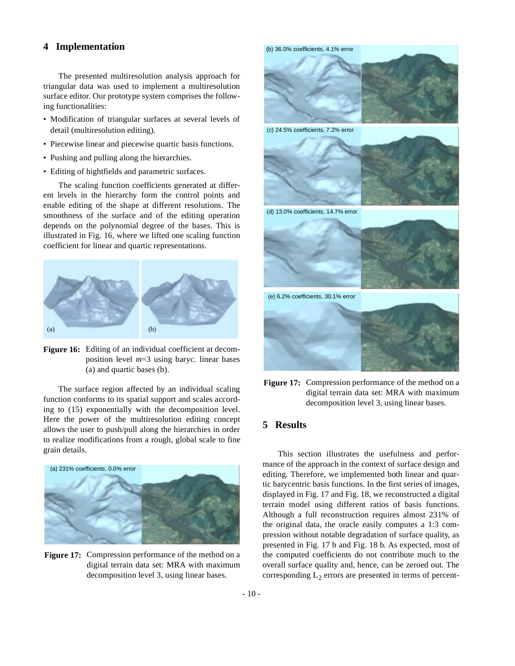## **4 Implementation**

The presented multiresolution analysis approach for triangular data was used to implement a multiresolution surface editor. Our prototype system comprises the following functionalities:

- Modification of triangular surfaces at several levels of detail (multiresolution editing).
- Piecewise linear and piecewise quartic basis functions.
- Pushing and pulling along the hierarchies.
- Editing of hightfields and parametric surfaces.

The scaling function coefficients generated at different levels in the hierarchy form the control points and enable editing of the shape at different resolutions. The smoothness of the surface and of the editing operation depends on the polynomial degree of the bases. This is illustrated in Fig. 16, where we lifted one scaling function coefficient for linear and quartic representations.





The surface region affected by an individual scaling function conforms to its spatial support and scales according to (15) exponentially with the decomposition level. Here the power of the multiresolution editing concept allows the user to push/pull along the hierarchies in order to realize modifications from a rough, global scale to fine grain details.



**Figure 17:** Compression performance of the method on a digital terrain data set: MRA with maximum decomposition level 3, using linear bases.



Figure 17: Compression performance of the method on a digital terrain data set: MRA with maximum decomposition level 3, using linear bases.

## **5 Results**

This section illustrates the usefulness and performance of the approach in the context of surface design and editing. Therefore, we implemented both linear and quartic barycentric basis functions. In the first series of images, displayed in Fig. 17 and Fig. 18, we reconstructed a digital terrain model using different ratios of basis functions. Although a full reconstruction requires almost 231% of the original data, the oracle easily computes a 1:3 compression without notable degradation of surface quality, as presented in Fig. 17 b and Fig. 18 b. As expected, most of the computed coefficients do not contribute much to the overall surface quality and, hence, can be zeroed out. The corresponding  $L_2$  errors are presented in terms of percent-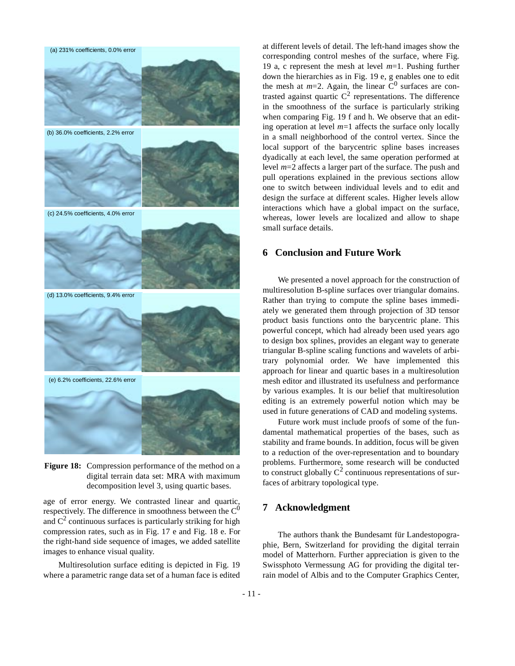

**Figure 18:** Compression performance of the method on a digital terrain data set: MRA with maximum decomposition level 3, using quartic bases.

age of error energy. We contrasted linear and quartic, respectively. The difference in smoothness between the  $C^0$ and  $C^2$  continuous surfaces is particularly striking for high compression rates, such as in Fig. 17 e and Fig. 18 e. For the right-hand side sequence of images, we added satellite images to enhance visual quality.

Multiresolution surface editing is depicted in Fig. 19 where a parametric range data set of a human face is edited at different levels of detail. The left-hand images show the corresponding control meshes of the surface, where Fig. 19 a, c represent the mesh at level *m*=1. Pushing further down the hierarchies as in Fig. 19 e, g enables one to edit the mesh at  $m=2$ . Again, the linear  $C^0$  surfaces are contrasted against quartic  $C^2$  representations. The difference in the smoothness of the surface is particularly striking when comparing Fig. 19 f and h. We observe that an editing operation at level  $m=1$  affects the surface only locally in a small neighborhood of the control vertex. Since the local support of the barycentric spline bases increases dyadically at each level, the same operation performed at level *m*=2 affects a larger part of the surface. The push and pull operations explained in the previous sections allow one to switch between individual levels and to edit and design the surface at different scales. Higher levels allow interactions which have a global impact on the surface, whereas, lower levels are localized and allow to shape small surface details.

### **6 Conclusion and Future Work**

We presented a novel approach for the construction of multiresolution B-spline surfaces over triangular domains. Rather than trying to compute the spline bases immediately we generated them through projection of 3D tensor product basis functions onto the barycentric plane. This powerful concept, which had already been used years ago to design box splines, provides an elegant way to generate triangular B-spline scaling functions and wavelets of arbitrary polynomial order. We have implemented this approach for linear and quartic bases in a multiresolution mesh editor and illustrated its usefulness and performance by various examples. It is our belief that multiresolution editing is an extremely powerful notion which may be used in future generations of CAD and modeling systems.

Future work must include proofs of some of the fundamental mathematical properties of the bases, such as stability and frame bounds. In addition, focus will be given to a reduction of the over-representation and to boundary problems. Furthermore, some research will be conducted to construct globally  $C^2$  continuous representations of surfaces of arbitrary topological type.

## **7 Acknowledgment**

The authors thank the Bundesamt für Landestopographie, Bern, Switzerland for providing the digital terrain model of Matterhorn. Further appreciation is given to the Swissphoto Vermessung AG for providing the digital terrain model of Albis and to the Computer Graphics Center,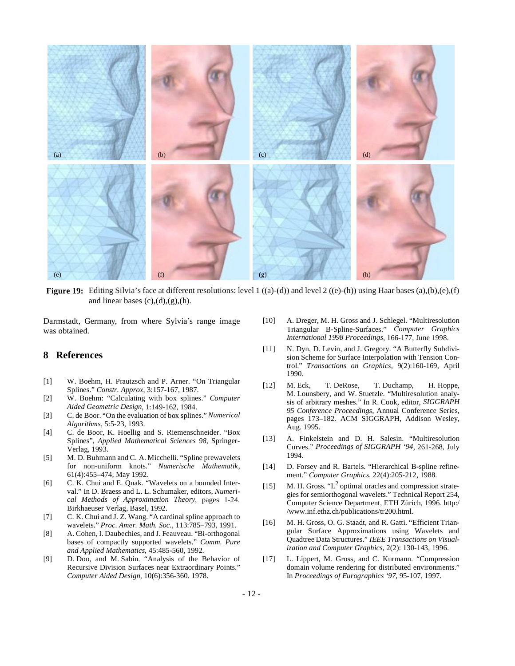

**Figure 19:** Editing Silvia's face at different resolutions: level 1 ((a)-(d)) and level 2 ((e)-(h)) using Haar bases (a),(b),(e),(f) and linear bases  $(c)$ , $(d)$ , $(g)$ , $(h)$ .

Darmstadt, Germany, from where Sylvia's range image was obtained.

## **8 References**

- [1] W. Boehm, H. Prautzsch and P. Arner. "On Triangular Splines." *Constr. Approx*, 3:157-167, 1987.
- [2] W. Boehm: "Calculating with box splines." *Computer Aided Geometric Design*, 1:149-162, 1984.
- [3] C. de Boor. "On the evaluation of box splines." *Numerical Algorithms*, 5:5-23, 1993.
- [4] C. de Boor, K. Hoellig and S. Riemenschneider. "Box Splines", *Applied Mathematical Sciences 98*, Springer-Verlag, 1993.
- [5] M. D. Buhmann and C. A. Micchelli. "Spline prewavelets for non-uniform knots." *Numerische Mathematik*, 61(4):455–474, May 1992.
- [6] C. K. Chui and E. Quak. "Wavelets on a bounded Interval." In D. Braess and L. L. Schumaker, editors, *Numerical Methods of Approximation Theory*, pages 1-24. Birkhaeuser Verlag, Basel, 1992.
- [7] C. K. Chui and J. Z. Wang. "A cardinal spline approach to wavelets." *Proc. Amer. Math. Soc.*, 113:785–793, 1991.
- [8] A. Cohen, I. Daubechies, and J. Feauveau. "Bi-orthogonal bases of compactly supported wavelets." *Comm. Pure and Applied Mathematics*, 45:485-560, 1992.
- [9] D. Doo, and M. Sabin. "Analysis of the Behavior of Recursive Division Surfaces near Extraordinary Points." *Computer Aided Design*, 10(6):356-360. 1978.
- [10] A. Dreger, M. H. Gross and J. Schlegel. "Multiresolution Triangular B-Spline-Surfaces." *Computer Graphics International 1998 Proceedings*, 166-177, June 1998.
- [11] N. Dyn, D. Levin, and J. Gregory. "A Butterfly Subdivision Scheme for Surface Interpolation with Tension Control." *Transactions on Graphics*, 9(2):160-169, April 1990.
- [12] M. Eck, T. DeRose, T. Duchamp, H. Hoppe, M. Lounsbery, and W. Stuetzle. "Multiresolution analysis of arbitrary meshes." In R. Cook, editor, *SIGGRAPH 95 Conference Proceedings*, Annual Conference Series, pages 173–182. ACM SIGGRAPH, Addison Wesley, Aug. 1995.
- [13] A. Finkelstein and D. H. Salesin. "Multiresolution Curves." *Proceedings of SIGGRAPH '94*, 261-268, July 1994.
- [14] D. Forsey and R. Bartels. "Hierarchical B-spline refinement." *Computer Graphics*, 22(4):205-212, 1988.
- [15] M. H. Gross. " $L^2$  optimal oracles and compression strategies for semiorthogonal wavelets." Technical Report 254, Computer Science Department, ETH Zürich, 1996. http:/ /www.inf.ethz.ch/publications/tr200.html.
- [16] M. H. Gross, O. G. Staadt, and R. Gatti. "Efficient Triangular Surface Approximations using Wavelets and Quadtree Data Structures." *IEEE Transactions on Visualization and Computer Graphics*, 2(2): 130-143, 1996.
- [17] L. Lippert, M. Gross, and C. Kurmann. "Compression domain volume rendering for distributed environments." In *Proceedings of Eurographics '97*, 95-107, 1997.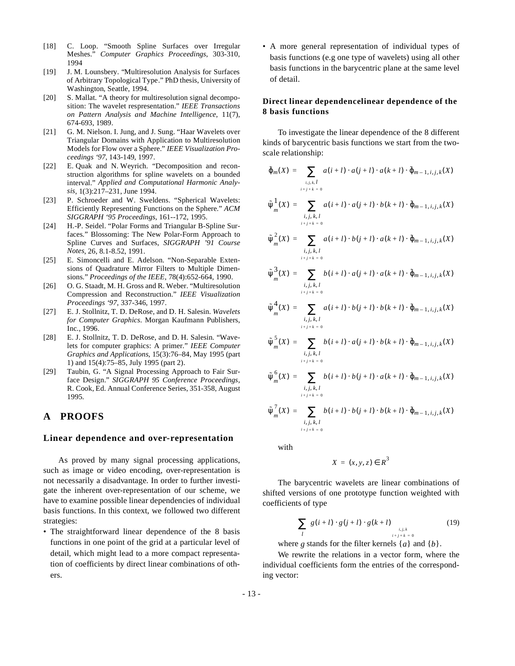- [18] C. Loop. "Smooth Spline Surfaces over Irregular Meshes." *Computer Graphics Proceedings*, 303-310, 1994
- [19] J. M. Lounsbery. "Multiresolution Analysis for Surfaces of Arbitrary Topological Type." PhD thesis, University of Washington, Seattle, 1994.
- [20] S. Mallat. "A theory for multiresolution signal decomposition: The wavelet respresentation." *IEEE Transactions on Pattern Analysis and Machine Intelligence*, 11(7), 674-693, 1989.
- [21] G. M. Nielson. I. Jung, and J. Sung. "Haar Wavelets over Triangular Domains with Application to Multiresolution Models for Flow over a Sphere." *IEEE Visualization Proceedings '97*, 143-149, 1997.
- [22] E. Quak and N. Weyrich. "Decomposition and reconstruction algorithms for spline wavelets on a bounded interval." *Applied and Computational Harmonic Analysis*, 1(3):217–231, June 1994.
- [23] P. Schroeder and W. Sweldens. "Spherical Wavelets: Efficiently Representing Functions on the Sphere." *ACM SIGGRAPH '95 Proceedings*, 161--172, 1995.
- [24] H.-P. Seidel. "Polar Forms and Triangular B-Spline Surfaces." Blossoming: The New Polar-Form Approach to Spline Curves and Surfaces, *SIGGRAPH '91 Course Notes*, 26, 8.1-8.52, 1991.
- [25] E. Simoncelli and E. Adelson. "Non-Separable Extensions of Quadrature Mirror Filters to Multiple Dimensions." *Proceedings of the IEEE*, 78(4):652-664, 1990.
- [26] O. G. Staadt, M. H. Gross and R. Weber. "Multiresolution Compression and Reconstruction." *IEEE Visualization Proceedings '97*, 337-346, 1997.
- [27] E. J. Stollnitz, T. D. DeRose, and D. H. Salesin. *Wavelets for Computer Graphics*. Morgan Kaufmann Publishers, Inc., 1996.
- [28] E. J. Stollnitz, T. D. DeRose, and D. H. Salesin. "Wavelets for computer graphics: A primer." *IEEE Computer Graphics and Applications*, 15(3):76–84, May 1995 (part 1) and 15(4):75–85, July 1995 (part 2).
- [29] Taubin, G. "A Signal Processing Approach to Fair Surface Design." *SIGGRAPH 95 Conference Proceedings*, R. Cook, Ed. Annual Conference Series, 351-358, August 1995.

## **A PROOFS**

#### **Linear dependence and over-representation**

As proved by many signal processing applications, such as image or video encoding, over-representation is not necessarily a disadvantage. In order to further investigate the inherent over-representation of our scheme, we have to examine possible linear dependencies of individual basis functions. In this context, we followed two different strategies:

• The straightforward linear dependence of the 8 basis functions in one point of the grid at a particular level of detail, which might lead to a more compact representation of coefficients by direct linear combinations of others.

• A more general representation of individual types of basis functions (e.g one type of wavelets) using all other basis functions in the barycentric plane at the same level of detail.

### **Direct linear dependencelinear dependence of the 8 basis functions**

To investigate the linear dependence of the 8 different kinds of barycentric basis functions we start from the twoscale relationship:

$$
\tilde{\varphi}_{m}(X) = \sum_{\substack{i,j,k,l \ i+j+k=0}} a(i+l) \cdot a(j+l) \cdot a(k+l) \cdot \tilde{\varphi}_{m-1,i,j,k}(X)
$$
\n
$$
\tilde{\psi}_{m}^{1}(X) = \sum_{\substack{i,j,k,l \ i+j+k=0}} a(i+l) \cdot a(j+l) \cdot b(k+l) \cdot \tilde{\varphi}_{m-1,i,j,k}(X)
$$
\n
$$
\tilde{\psi}_{m}^{2}(X) = \sum_{\substack{i,j,k,l \ i+j+k=0}} a(i+l) \cdot b(j+l) \cdot a(k+l) \cdot \tilde{\varphi}_{m-1,i,j,k}(X)
$$
\n
$$
\tilde{\psi}_{m}^{3}(X) = \sum_{\substack{i,j,k,l \ i+j+k=0}} b(i+l) \cdot a(j+l) \cdot a(k+l) \cdot \tilde{\varphi}_{m-1,i,j,k}(X)
$$
\n
$$
\tilde{\psi}_{m}^{4}(X) = \sum_{\substack{i,j,k,l \ i+j+k=0}} a(i+l) \cdot b(j+l) \cdot b(k+l) \cdot \tilde{\varphi}_{m-1,i,j,k}(X)
$$
\n
$$
\tilde{\psi}_{m}^{5}(X) = \sum_{\substack{i,j,k,l \ i+j+k=0}} b(i+l) \cdot a(j+l) \cdot b(k+l) \cdot \tilde{\varphi}_{m-1,i,j,k}(X)
$$
\n
$$
\tilde{\psi}_{m}^{6}(X) = \sum_{\substack{i,j,k,l \ i+j+k=0}} b(i+l) \cdot b(j+l) \cdot a(k+l) \cdot \tilde{\varphi}_{m-1,i,j,k}(X)
$$
\n
$$
\tilde{\psi}_{m}^{6}(X) = \sum_{\substack{i,j,k,l \ i+j+k=0}} b(i+l) \cdot b(j+l) \cdot a(k+l) \cdot \tilde{\varphi}_{m-1,i,j,k}(X)
$$

$$
\tilde{\psi}_m^7(X) = \sum_{\substack{i,j,k,l \ i+j+k=0}} b(i+l) \cdot b(j+l) \cdot b(k+l) \cdot \tilde{\varphi}_{m-1,i,j,k}(X)
$$

with

$$
X = (x, y, z) \in R^3
$$

The barycentric wavelets are linear combinations of shifted versions of one prototype function weighted with coefficients of type

$$
\left(\sum_{l} g(i+l) \cdot g(j+l) \cdot g(k+l)\right)_{i,j,k}
$$
\n(19)

where *g* stands for the filter kernels {*a*} and {*b*}.

We rewrite the relations in a vector form, where the individual coefficients form the entries of the corresponding vector: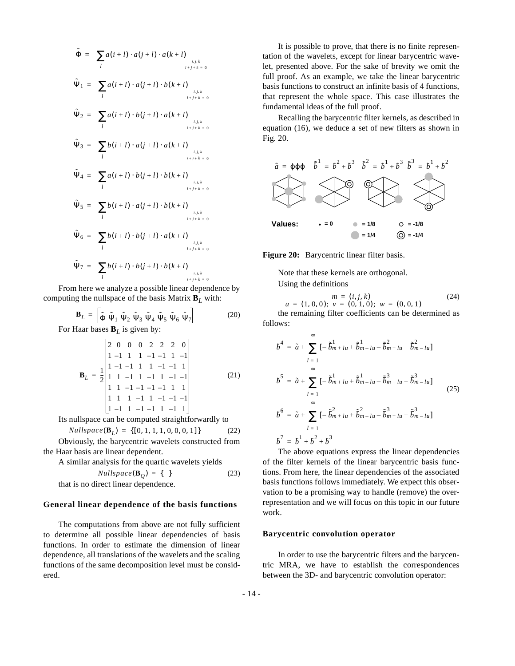$$
\tilde{\Phi} = \left(\sum_{l} a(i+l) \cdot a(j+l) \cdot a(k+l)\right)_{i,j,k}
$$
\n
$$
\tilde{\Psi}_{1} = \left(\sum_{l} a(i+l) \cdot a(j+l) \cdot b(k+l)\right)_{i,j,k}
$$
\n
$$
\tilde{\Psi}_{2} = \left(\sum_{l} a(i+l) \cdot b(j+l) \cdot a(k+l)\right)_{i,j,k}
$$
\n
$$
\tilde{\Psi}_{3} = \left(\sum_{l} b(i+l) \cdot a(j+l) \cdot a(k+l)\right)_{i,j,k}
$$
\n
$$
\tilde{\Psi}_{4} = \left(\sum_{l} b(i+l) \cdot b(j+l) \cdot b(k+l)\right)_{i,j,k}
$$
\n
$$
\tilde{\Psi}_{5} = \left(\sum_{l} b(i+l) \cdot b(j+l) \cdot b(k+l)\right)_{i,j,k}
$$
\n
$$
\tilde{\Psi}_{6} = \left(\sum_{l} b(i+l) \cdot a(j+l) \cdot b(k+l)\right)_{i,j,k}
$$
\n
$$
\tilde{\Psi}_{7} = \left(\sum_{l} b(i+l) \cdot b(j+l) \cdot a(k+l)\right)_{i,j,k}
$$
\n
$$
\tilde{\Psi}_{7} = \left(\sum_{l} b(i+l) \cdot b(j+l) \cdot b(k+l)\right)_{i,j,k}
$$

From here we analyze a possible linear dependence by computing the nullspace of the basis Matrix  $\mathbf{B}_L$  with:

$$
\mathbf{B}_{L} = \left[ \tilde{\Phi} \; \tilde{\Psi}_{1} \; \tilde{\Psi}_{2} \; \tilde{\Psi}_{3} \; \tilde{\Psi}_{4} \; \tilde{\Psi}_{5} \; \tilde{\Psi}_{6} \; \tilde{\Psi}_{7} \right]
$$
(20)

For Haar bases **B***L* is given by:

$$
\mathbf{B}_{L} = \frac{1}{2} \begin{vmatrix} 2 & 0 & 0 & 0 & 2 & 2 & 2 & 0 \\ 1 & -1 & 1 & 1 & -1 & -1 & 1 & -1 \\ 1 & -1 & -1 & 1 & 1 & -1 & -1 & 1 \\ 1 & 1 & -1 & 1 & -1 & 1 & -1 & -1 \\ 1 & 1 & 1 & -1 & 1 & -1 & -1 & -1 & -1 \\ 1 & -1 & 1 & -1 & -1 & 1 & -1 & 1 \end{vmatrix}
$$
(21)

Its nullspace can be computed straightforwardly to

$$
Nullspace(\mathbf{B}_L) = \{ [0, 1, 1, 1, 0, 0, 0, 1] \}
$$
 (22)

Obviously, the barycentric wavelets constructed from the Haar basis are linear dependent.

A similar analysis for the quartic wavelets yields

$$
Nullspace(\mathbf{B}_Q) = \{ \}
$$
 (23)

that is no direct linear dependence.

#### **General linear dependence of the basis functions**

The computations from above are not fully sufficient to determine all possible linear dependencies of basis functions. In order to estimate the dimension of linear dependence, all translations of the wavelets and the scaling functions of the same decomposition level must be considered.

It is possible to prove, that there is no finite representation of the wavelets, except for linear barycentric wavelet, presented above. For the sake of brevity we omit the full proof. As an example, we take the linear barycentric basis functions to construct an infinite basis of 4 functions, that represent the whole space. This case illustrates the fundamental ideas of the full proof.

Recalling the barycentric filter kernels, as described in equation (16), we deduce a set of new filters as shown in Fig. 20.



**Figure 20:** Barycentric linear filter basis.

Note that these kernels are orthogonal.

Using the definitions

$$
m = (i, j, k)
$$
  
 
$$
u = (1, 0, 0); \ v = (0, 1, 0); \ w = (0, 0, 1)
$$
 (24)

the remaining filter coefficients can be determined as follows:

$$
b^{4} = \tilde{a} + \sum_{l=1}^{\infty} \left[ -\tilde{b}_{m+l}^{1} u + \tilde{b}_{m-l}^{1} u - \tilde{b}_{m+l}^{2} u + \tilde{b}_{m-l}^{2} u \right]
$$
  
\n
$$
b^{5} = \tilde{a} + \sum_{l=1}^{\infty} \left[ -\tilde{b}_{m+l}^{1} u + \tilde{b}_{m-l}^{1} u - \tilde{b}_{m+l}^{3} u + \tilde{b}_{m-l}^{3} u \right]
$$
  
\n
$$
b^{6} = \tilde{a} + \sum_{l=1}^{\infty} \left[ -\tilde{b}_{m+l}^{2} u + \tilde{b}_{m-l}^{2} u - \tilde{b}_{m+l}^{3} u + \tilde{b}_{m-l}^{3} u \right]
$$
  
\n
$$
b^{7} = b^{1} + b^{2} + b^{3}
$$
  
\n(25)

The above equations express the linear dependencies of the filter kernels of the linear barycentric basis functions. From here, the linear dependencies of the associated basis functions follows immediately. We expect this observation to be a promising way to handle (remove) the overrepresentation and we will focus on this topic in our future work.

#### **Barycentric convolution operator**

In order to use the barycentric filters and the barycentric MRA, we have to establish the correspondences between the 3D- and barycentric convolution operator: